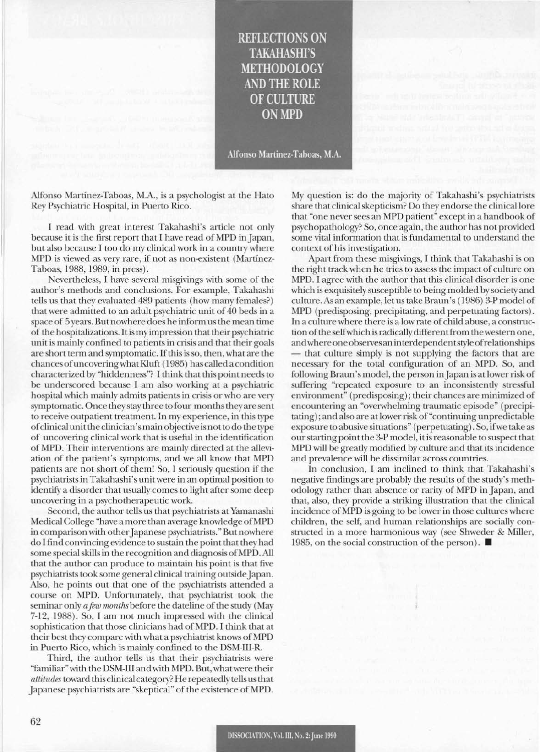## **REFLECTIONS ON TAKAHASHI'S METHODOLOGY** AND THE ROLE OF CULTURE **ONMPD**

Alfonso Martinez-Taboas, M.A.

Alfonso Martinez-Taboas, M.A., is a psychologist at the Hato Rey Psychiatric Hospital, in Puerto Rico.

I read with great interest Takahashi's article not only because it is the first report that I have read of MPD in Japan, but also because I too do my clinical work in a country where MPD is viewed as very rare, if not as non-existent (Martinez-Taboas, 1988, 1989, in press).

Nevertheless, I have several misgivings with some of the author's methods and conclusions. For example, Takahashi tells us that they evaluated 489 patients (how many females?) that were admitted to an adult psychiatric unit of 40 beds in a space of 5 years. But nowhere does he inform us the mean time of the hospitalizations. Itis my impression that their psychiatric unit is mainly confined to patients in crisis and that their goals are short term and symptomatic. Ifthis is so, then, what are the chances ofuncoveringwhatKluft (1985) has called a condition characterized by "hiddenness"? I think that this point needs to be underscored because I am also working at a psychiatric hospital which mainly admits patients in crisis or who are very symptomatic. Once they stay three to four months they are sent to receive outpatient treatment. In my experience, in this type ofclinical unit the clinician'smain objective is not to do the type of uncovering clinical work that is useful in the identification of MPD. Their interventions are mainly directed at the alleviation of the patient's symptoms, and we all know that MPD patients are not short of them! So, I seriously question if the psychiatrists in Takahashi's unitwere in an optimal position to identify a disorder that usually comes to light after some deep uncovering in a psychotherapeutic work.

Second, the author tells us that psychiatrists at Yamanashi Medical College "have a more than average knowledge ofMPD in comparison with other Japanese psychiatrists." But nowhere do Ifind convincing evidence to sustain the point that they had some special skillsin the recognition and diagnosis ofMPD. All that the author can produce to maintain his point is that five psychiatrists took some general clinical training outside Japan. Also, he points out that one of the psychiatrists attended a course on MPD. Unfortunately, that psychiatrist took the seminar only *a few months* before the dateline of the study (May 7-12, 1988). So, I am not much impressed with the clinical sophistication that those clinicians had of MPD. I think that at their best they compare with what a psychiatrist knows of MPD in Puerto Rico, which is mainly confined to the DSM-III-R.

Third, the author tells us that their psychiatrists were "familiar"with the DSM-III and with MPD. But, whatwere their *attitudes* toward this clinical category? He repeatedly tellsusthat Japanese psychiatrists are "skeptical" of the existence of MPD.

My question is: do the majority of Takahashi's psychiatrists share that clinical skepticism? Do they endorse the clinical lore that "one neversees an MPD patient" except in a handbook of psychopathology? So, once again, the author has not provided some vital information that is fundamental to understand the context of his investigation.

Apart from these misgivings, I think that Takahashi is on the right track when he tries to assess the impact of culture on MPD. I agree with the author that this clinical disorder is one which is exquisitely susceptible to being molded by society and culture. As an example, let us take Braun's (1986) 3-P model of MPD (predisposing, precipitating, and perpetuating factors). In a culture where there is a low rate of child abuse, a construction of the self which is radically different from the western one, andwhere oneobserves an interdependentstyleofrelationships - that culture simply is not supplying the factors that are necessary for the total configuration of an MPD. So, and following Braun's model, the person in Japan is at lower risk of suffering "repeated exposure to an inconsistently stressful environment" (predisposing); their chances are minimized of encountering an "overwhelming traumatic episode" (precipitating) ; and also are at lower risk of "continuing unpredictable exposure to abusive situations" (perpetuating). So, ifwe take as ourstarting point the 3-P model, it is reasonable to suspect that MPD will be greatly modified by culture and that its incidence and prevalence will be dissimilar across countries.

In conclusion, I am inclined to think that Takahashi's negative findings are probably the results of the study's methodology rather than absence or rarity of MPD in Japan, and that, also, they provide a striking illustration that the clinical incidence ofMPD is going to be lower in those cultures where children, the self, and human relationships are socially constructed in a more harmonious way (see Shweder & Miller, 1985, on the social construction of the person).  $\blacksquare$